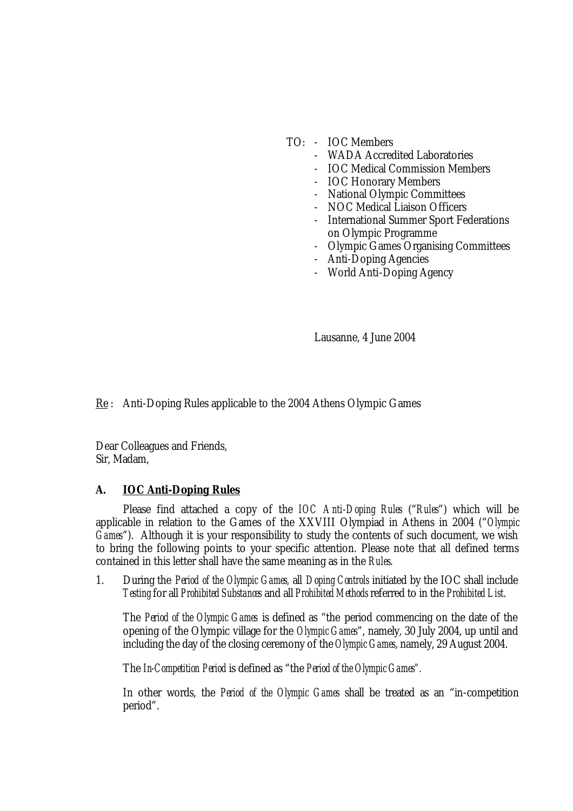- TO: IOC Members
	- WADA Accredited Laboratories
	- IOC Medical Commission Members
	- IOC Honorary Members
	- National Olympic Committees
	- NOC Medical Liaison Officers
	- International Summer Sport Federations on Olympic Programme
	- Olympic Games Organising Committees
	- Anti-Doping Agencies
	- World Anti-Doping Agency

Lausanne, 4 June 2004

Re : Anti-Doping Rules applicable to the 2004 Athens Olympic Games

Dear Colleagues and Friends, Sir, Madam,

## **A. IOC Anti-Doping Rules**

Please find attached a copy of the *IOC Anti-Doping Rules* ("*Rules*") which will be applicable in relation to the Games of the XXVIII Olympiad in Athens in 2004 ("*Olympic Games*"). Although it is your responsibility to study the contents of such document, we wish to bring the following points to your specific attention. Please note that all defined terms contained in this letter shall have the same meaning as in the *Rules*.

1. During the *Period of the Olympic Games,* all *Doping Controls* initiated by the IOC shall include *Testing* for all *Prohibited Substances* and all *Prohibited Methods* referred to in the *Prohibited List*.

The *Period of the Olympic Games* is defined as "the period commencing on the date of the opening of the Olympic village for the *Olympic Games*", namely, 30 July 2004, up until and including the day of the closing ceremony of the *Olympic Games*, namely, 29 August 2004.

The *In-Competition Period* is defined as "the *Period of the Olympic Games".*

In other words, the *Period of the Olympic Games* shall be treated as an "in-competition period".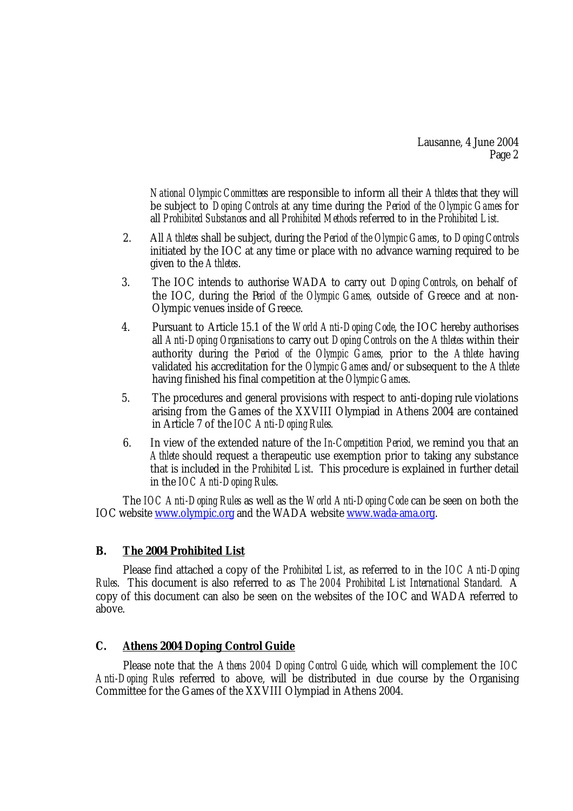Lausanne, 4 June 2004 Page 2

*National Olympic Committees* are responsible to inform all their *Athletes* that they will be subject to *Doping Controls* at any time during the *Period of the Olympic Games* for all *Prohibited Substances* and all *Prohibited Methods* referred to in the *Prohibited List.*

- 2. All *Athletes* shall be subject, during the *Period of the Olympic Games*, to *Doping Controls* initiated by the IOC at any time or place with no advance warning required to be given to the *Athletes*.
- 3. The IOC intends to authorise WADA to carry out *Doping Controls*, on behalf of the IOC, during the P*eriod of the Olympic Games,* outside of Greece and at non-Olympic venues inside of Greece.
- 4. Pursuant to Article 15.1 of the *World Anti-Doping Code*, the IOC hereby authorises all *Anti-Doping Organisations* to carry out *Doping Controls* on the *Athletes* within their authority during the *Period of the Olympic Games,* prior to the *Athlete* having validated his accreditation for the *Olympic Games* and/or subsequent to the *Athlete*  having finished his final competition at the *Olympic Games*.
- 5. The procedures and general provisions with respect to anti-doping rule violations arising from the Games of the XXVIII Olympiad in Athens 2004 are contained in Article 7 of the *IOC Anti-Doping Rules.*
- 6. In view of the extended nature of the *In-Competition Period*, we remind you that an *Athlete* should request a therapeutic use exemption prior to taking any substance that is included in the *Prohibited List*. This procedure is explained in further detail in the *IOC Anti-Doping Rules*.

The *IOC Anti-Doping Rules* as well as the *World Anti-Doping Code* can be seen on both the IOC website [www.olympic.org](http://www.olympic.org) and the WADA website [www.wada-ama.org.](http://www.wada-ama.org)

## **B. The 2004 Prohibited List**

Please find attached a copy of the *Prohibited List*, as referred to in the *IOC Anti-Doping Rules*. This document is also referred to as *The 2004 Prohibited List International Standard.* A copy of this document can also be seen on the websites of the IOC and WADA referred to above.

## **C. Athens 2004 Doping Control Guide**

Please note that the *Athens 2004 Doping Control Guide*, which will complement the *IOC Anti-Doping Rules* referred to above, will be distributed in due course by the Organising Committee for the Games of the XXVIII Olympiad in Athens 2004.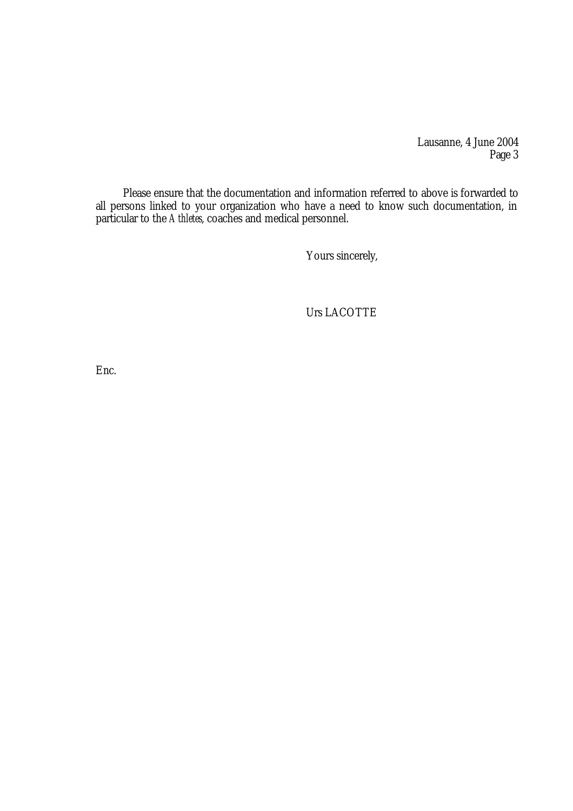Lausanne, 4 June 2004 Page 3

Please ensure that the documentation and information referred to above is forwarded to all persons linked to your organization who have a need to know such documentation, in particular to the *Athletes*, coaches and medical personnel.

Yours sincerely,

Urs LACOTTE

Enc.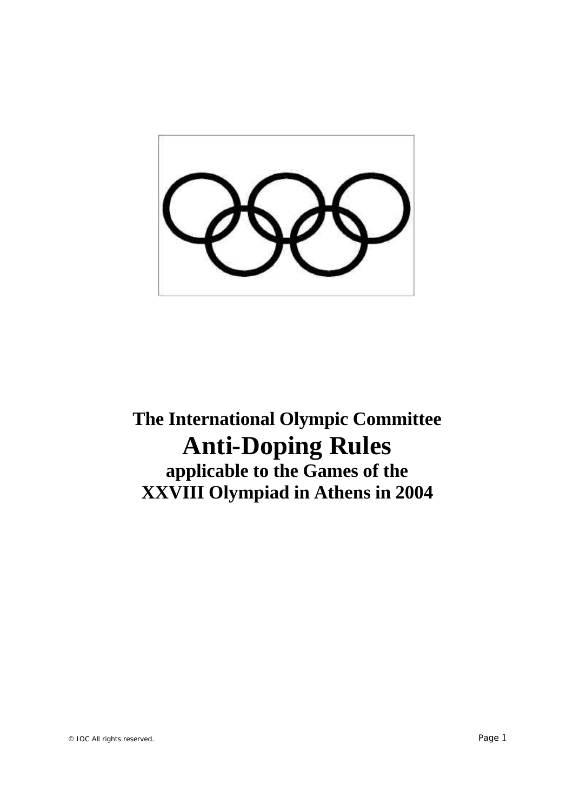# **The International Olympic Committee Anti-Doping Rules**

**applicable to the Games of the XXVIII Olympiad in Athens in 2004**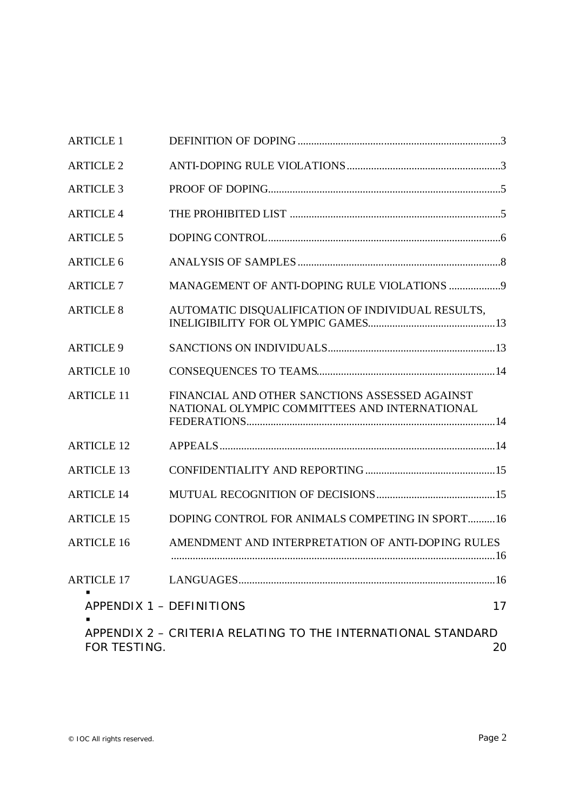| <b>ARTICLE 1</b>       |                                                                                                 |    |
|------------------------|-------------------------------------------------------------------------------------------------|----|
| <b>ARTICLE 2</b>       |                                                                                                 |    |
| <b>ARTICLE 3</b>       |                                                                                                 |    |
| <b>ARTICLE 4</b>       |                                                                                                 |    |
| <b>ARTICLE 5</b>       |                                                                                                 |    |
| <b>ARTICLE 6</b>       |                                                                                                 |    |
| <b>ARTICLE 7</b>       | MANAGEMENT OF ANTI-DOPING RULE VIOLATIONS 9                                                     |    |
| <b>ARTICLE 8</b>       | AUTOMATIC DISQUALIFICATION OF INDIVIDUAL RESULTS,                                               |    |
| <b>ARTICLE 9</b>       |                                                                                                 |    |
| <b>ARTICLE 10</b>      |                                                                                                 |    |
| <b>ARTICLE 11</b>      | FINANCIAL AND OTHER SANCTIONS ASSESSED AGAINST<br>NATIONAL OLYMPIC COMMITTEES AND INTERNATIONAL |    |
| <b>ARTICLE 12</b>      |                                                                                                 |    |
| <b>ARTICLE 13</b>      |                                                                                                 |    |
| <b>ARTICLE 14</b>      |                                                                                                 |    |
| <b>ARTICLE 15</b>      | DOPING CONTROL FOR ANIMALS COMPETING IN SPORT16                                                 |    |
| <b>ARTICLE 16</b>      | AMENDMENT AND INTERPRETATION OF ANTI-DOPING RULES                                               |    |
| <b>ARTICLE 17</b><br>п |                                                                                                 |    |
|                        | APPENDIX 1 - DEFINITIONS                                                                        | 17 |
| FOR TESTING.           | APPENDIX 2 - CRITERIA RELATING TO THE INTERNATIONAL STANDARD                                    | 20 |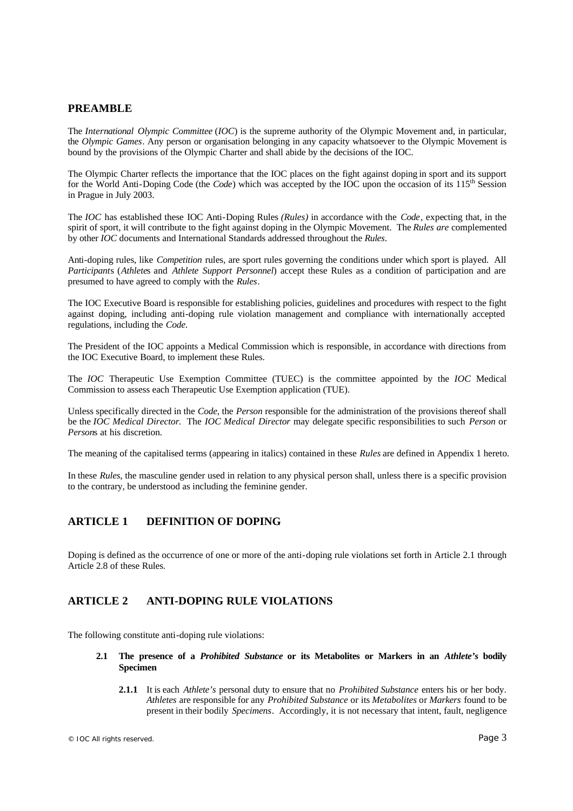## **PREAMBLE**

The *International Olympic Committee* (*IOC*) is the supreme authority of the Olympic Movement and, in particular, the *Olympic Games*. Any person or organisation belonging in any capacity whatsoever to the Olympic Movement is bound by the provisions of the Olympic Charter and shall abide by the decisions of the IOC.

The Olympic Charter reflects the importance that the IOC places on the fight against doping in sport and its support for the World Anti-Doping Code (the *Code*) which was accepted by the IOC upon the occasion of its 115<sup>th</sup> Session in Prague in July 2003.

The *IOC* has established these IOC Anti-Doping Rules *(Rules)* in accordance with the *Code*, expecting that, in the spirit of sport, it will contribute to the fight against doping in the Olympic Movement. The *Rules are* complemented by other *IOC* documents and International Standards addressed throughout the *Rules.*

Anti-doping rules, like *Competition* rules, are sport rules governing the conditions under which sport is played. All *Participant*s (*Athlete*s and *Athlete Support Personnel*) accept these Rules as a condition of participation and are presumed to have agreed to comply with the *Rules*.

The IOC Executive Board is responsible for establishing policies, guidelines and procedures with respect to the fight against doping, including anti-doping rule violation management and compliance with internationally accepted regulations, including the *Code*.

The President of the IOC appoints a Medical Commission which is responsible, in accordance with directions from the IOC Executive Board, to implement these Rules.

The *IOC* Therapeutic Use Exemption Committee (TUEC) is the committee appointed by the *IOC* Medical Commission to assess each Therapeutic Use Exemption application (TUE).

Unless specifically directed in the *Code*, the *Person* responsible for the administration of the provisions thereof shall be the *IOC Medical Director*. The *IOC Medical Director* may delegate specific responsibilities to such *Person* or *Person*s at his discretion.

The meaning of the capitalised terms (appearing in italics) contained in these *Rules* are defined in Appendix 1 hereto.

In these *Rules*, the masculine gender used in relation to any physical person shall, unless there is a specific provision to the contrary, be understood as including the feminine gender.

## **ARTICLE 1 DEFINITION OF DOPING**

Doping is defined as the occurrence of one or more of the anti-doping rule violations set forth in Article 2.1 through Article 2.8 of these Rules.

## **ARTICLE 2 ANTI-DOPING RULE VIOLATIONS**

The following constitute anti-doping rule violations:

- **2.1 The presence of a** *Prohibited Substance* **or its Metabolites or Markers in an** *Athlete's* **bodily Specimen**
	- **2.1.1** It is each *Athlete's* personal duty to ensure that no *Prohibited Substance* enters his or her body. *Athletes* are responsible for any *Prohibited Substance* or its *Metabolites* or *Markers* found to be present in their bodily *Specimens*. Accordingly, it is not necessary that intent, fault, negligence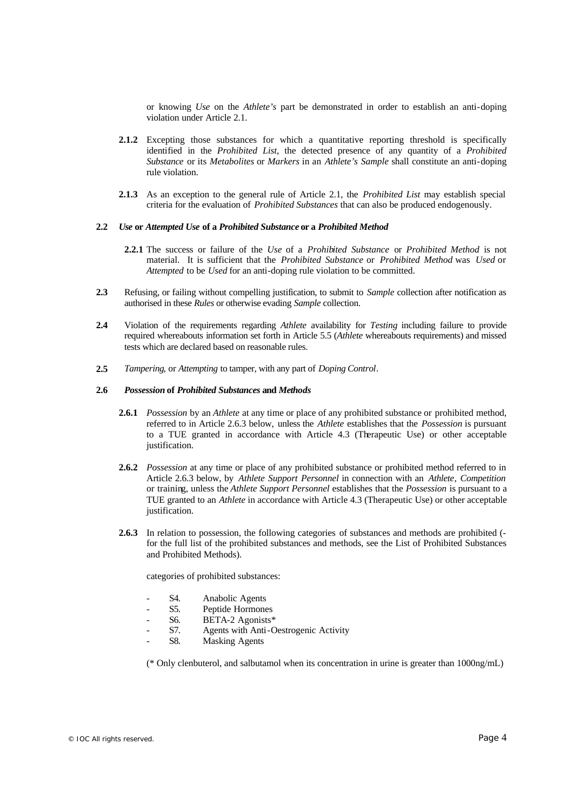or knowing *Use* on the *Athlete's* part be demonstrated in order to establish an anti-doping violation under Article 2.1.

- **2.1.2** Excepting those substances for which a quantitative reporting threshold is specifically identified in the *Prohibited List*, the detected presence of any quantity of a *Prohibited Substance* or its *Metabolites* or *Markers* in an *Athlete's Sample* shall constitute an anti-doping rule violation.
- **2.1.3** As an exception to the general rule of Article 2.1, the *Prohibited List* may establish special criteria for the evaluation of *Prohibited Substances* that can also be produced endogenously.

#### **2.2** *Use* **or** *Attempted Use* **of a** *Prohibited Substance* **or a** *Prohibited Method*

- **2.2.1** The success or failure of the *Use* of a *Prohibited Substance* or *Prohibited Method* is not material. It is sufficient that the *Prohibited Substance* or *Prohibited Method* was *Used* or *Attempted* to be *Used* for an anti-doping rule violation to be committed.
- **2.3** Refusing, or failing without compelling justification, to submit to *Sample* collection after notification as authorised in these *Rules* or otherwise evading *Sample* collection.
- **2.4** Violation of the requirements regarding *Athlete* availability for *Testing* including failure to provide required whereabouts information set forth in Article 5.5 (*Athlete* whereabouts requirements) and missed tests which are declared based on reasonable rules.
- **2.5** *Tampering*, or *Attempting* to tamper, with any part of *Doping Control*.

#### **2.6** *Possession* **of** *Prohibited Substances* **and** *Methods*

- **2.6.1** *Possession* by an *Athlete* at any time or place of any prohibited substance or prohibited method, referred to in Article 2.6.3 below, unless the *Athlete* establishes that the *Possession* is pursuant to a TUE granted in accordance with Article 4.3 (Therapeutic Use) or other acceptable justification.
- **2.6.2** *Possession* at any time or place of any prohibited substance or prohibited method referred to in Article 2.6.3 below, by *Athlete Support Personnel* in connection with an *Athlete*, *Competition* or training, unless the *Athlete Support Personnel* establishes that the *Possession* is pursuant to a TUE granted to an *Athlete* in accordance with Article 4.3 (Therapeutic Use) or other acceptable justification.
- **2.6.3** In relation to possession, the following categories of substances and methods are prohibited ( for the full list of the prohibited substances and methods, see the List of Prohibited Substances and Prohibited Methods).

categories of prohibited substances:

- S4. Anabolic Agents
- S5. Peptide Hormones
- S6. BETA-2 Agonists\*
- S7. Agents with Anti-Oestrogenic Activity
- S8. Masking Agents

(\* Only clenbuterol, and salbutamol when its concentration in urine is greater than 1000ng/mL)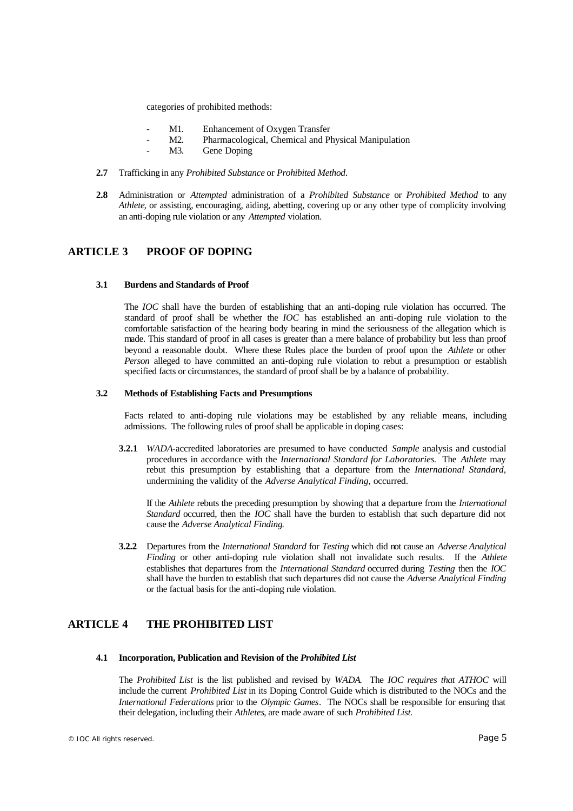categories of prohibited methods:

- M1. Enhancement of Oxygen Transfer
- M2. Pharmacological, Chemical and Physical Manipulation
- M3. Gene Doping
- **2.7** Trafficking in any *Prohibited Substance* or *Prohibited Method*.
- **2.8** Administration or *Attempted* administration of a *Prohibited Substance* or *Prohibited Method* to any *Athlete*, or assisting, encouraging, aiding, abetting, covering up or any other type of complicity involving an anti-doping rule violation or any *Attempted* violation.

## **ARTICLE 3 PROOF OF DOPING**

#### **3.1 Burdens and Standards of Proof**

The *IOC* shall have the burden of establishing that an anti-doping rule violation has occurred. The standard of proof shall be whether the *IOC* has established an anti-doping rule violation to the comfortable satisfaction of the hearing body bearing in mind the seriousness of the allegation which is made. This standard of proof in all cases is greater than a mere balance of probability but less than proof beyond a reasonable doubt. Where these Rules place the burden of proof upon the *Athlete* or other *Person* alleged to have committed an anti-doping rule violation to rebut a presumption or establish specified facts or circumstances, the standard of proof shall be by a balance of probability.

#### **3.2 Methods of Establishing Facts and Presumptions**

Facts related to anti-doping rule violations may be established by any reliable means, including admissions. The following rules of proof shall be applicable in doping cases:

**3.2.1** *WADA*-accredited laboratories are presumed to have conducted *Sample* analysis and custodial procedures in accordance with the *International Standard for Laboratories*. The *Athlete* may rebut this presumption by establishing that a departure from the *International Standard,* undermining the validity of the *Adverse Analytical Finding*, occurred.

If the *Athlete* rebuts the preceding presumption by showing that a departure from the *International Standard* occurred, then the *IOC* shall have the burden to establish that such departure did not cause the *Adverse Analytical Finding*.

**3.2.2** Departures from the *International Standard* for *Testing* which did not cause an *Adverse Analytical Finding* or other anti-doping rule violation shall not invalidate such results. If the *Athlete* establishes that departures from the *International Standard* occurred during *Testing* then the *IOC* shall have the burden to establish that such departures did not cause the *Adverse Analytical Finding*  or the factual basis for the anti-doping rule violation.

## **ARTICLE 4 THE PROHIBITED LIST**

#### **4.1 Incorporation, Publication and Revision of the** *Prohibited List*

The *Prohibited List* is the list published and revised by *WADA*. The *IOC requires that ATHOC* will include the current *Prohibited List* in its Doping Control Guide which is distributed to the NOCs and the *International Federations* prior to the *Olympic Games*. The NOCs shall be responsible for ensuring that their delegation, including their *Athletes*, are made aware of such *Prohibited List.*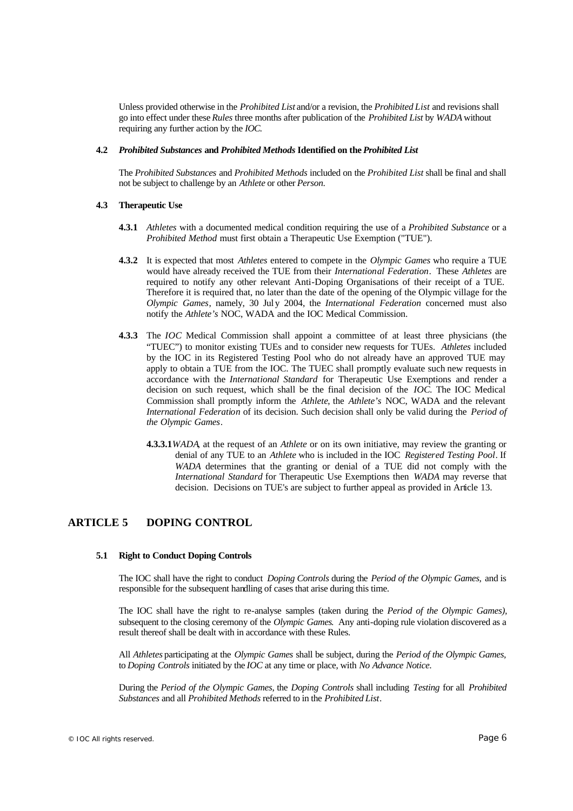Unless provided otherwise in the *Prohibited List* and/or a revision, the *Prohibited List* and revisions shall go into effect under these *Rules* three months after publication of the *Prohibited List* by *WADA* without requiring any further action by the *IOC.* 

#### **4.2** *Prohibited Substances* **and** *Prohibited Methods* **Identified on the** *Prohibited List*

The *Prohibited Substances* and *Prohibited Methods* included on the *Prohibited List* shall be final and shall not be subject to challenge by an *Athlete* or other *Person*.

#### **4.3 Therapeutic Use**

- **4.3.1** *Athletes* with a documented medical condition requiring the use of a *Prohibited Substance* or a *Prohibited Method* must first obtain a Therapeutic Use Exemption ("TUE").
- **4.3.2** It is expected that most *Athletes* entered to compete in the *Olympic Games* who require a TUE would have already received the TUE from their *International Federation*. These *Athletes* are required to notify any other relevant Anti-Doping Organisations of their receipt of a TUE. Therefore it is required that, no later than the date of the opening of the Olympic village for the *Olympic Games*, namely, 30 Jul y 2004, the *International Federation* concerned must also notify the *Athlete's* NOC, WADA and the IOC Medical Commission.
- **4.3.3** The *IOC* Medical Commission shall appoint a committee of at least three physicians (the "TUEC") to monitor existing TUEs and to consider new requests for TUEs. *Athletes* included by the IOC in its Registered Testing Pool who do not already have an approved TUE may apply to obtain a TUE from the IOC. The TUEC shall promptly evaluate such new requests in accordance with the *International Standard* for Therapeutic Use Exemptions and render a decision on such request, which shall be the final decision of the *IOC*. The IOC Medical Commission shall promptly inform the *Athlete*, the *Athlete's* NOC, WADA and the relevant *International Federation* of its decision. Such decision shall only be valid during the *Period of the Olympic Games*.
	- **4.3.3.1***WADA*, at the request of an *Athlete* or on its own initiative, may review the granting or denial of any TUE to an *Athlete* who is included in the IOC *Registered Testing Pool*. If *WADA* determines that the granting or denial of a TUE did not comply with the *International Standard* for Therapeutic Use Exemptions then *WADA* may reverse that decision. Decisions on TUE's are subject to further appeal as provided in Article 13.

## **ARTICLE 5 DOPING CONTROL**

#### **5.1 Right to Conduct Doping Controls**

The IOC shall have the right to conduct *Doping Controls* during the *Period of the Olympic Games,* and is responsible for the subsequent handling of cases that arise during this time.

The IOC shall have the right to re-analyse samples (taken during the *Period of the Olympic Games),* subsequent to the closing ceremony of the *Olympic Games*. Any anti-doping rule violation discovered as a result thereof shall be dealt with in accordance with these Rules.

All *Athletes* participating at the *Olympic Games* shall be subject, during the *Period of the Olympic Games,*  to *Doping Controls* initiated by the *IOC* at any time or place, with *No Advance Notice*.

During the *Period of the Olympic Games*, the *Doping Controls* shall including *Testing* for all *Prohibited Substances* and all *Prohibited Methods* referred to in the *Prohibited List*.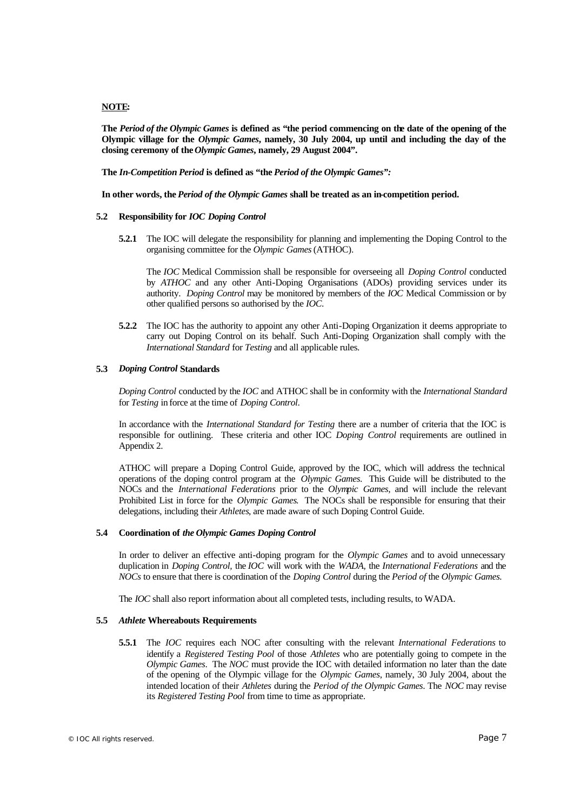#### **NOTE:**

**The** *Period of the Olympic Games* **is defined as "the period commencing on the date of the opening of the Olympic village for the** *Olympic Games***, namely, 30 July 2004, up until and including the day of the closing ceremony of the** *Olympic Games***, namely, 29 August 2004".**

**The** *In-Competition Period* **is defined as "the** *Period of the Olympic Games":*

**In other words, the** *Period of the Olympic Games* **shall be treated as an in-competition period.**

#### **5.2 Responsibility for** *IOC Doping Control*

**5.2.1** The IOC will delegate the responsibility for planning and implementing the Doping Control to the organising committee for the *Olympic Games* (ATHOC).

The *IOC* Medical Commission shall be responsible for overseeing all *Doping Control* conducted by *ATHOC* and any other Anti-Doping Organisations (ADOs) providing services under its authority. *Doping Control* may be monitored by members of the *IOC* Medical Commission or by other qualified persons so authorised by the *IOC*.

**5.2.2** The IOC has the authority to appoint any other Anti-Doping Organization it deems appropriate to carry out Doping Control on its behalf. Such Anti-Doping Organization shall comply with the *International Standard* for *Testing* and all applicable rules.

#### **5.3** *Doping Control* **Standards**

*Doping Control* conducted by the *IOC* and ATHOC shall be in conformity with the *International Standard* for *Testing* in force at the time of *Doping Control*.

In accordance with the *International Standard for Testing* there are a number of criteria that the IOC is responsible for outlining. These criteria and other IOC *Doping Control* requirements are outlined in Appendix 2.

ATHOC will prepare a Doping Control Guide, approved by the IOC, which will address the technical operations of the doping control program at the *Olympic Games*. This Guide will be distributed to the NOCs and the *International Federations* prior to the *Olympic Games*, and will include the relevant Prohibited List in force for the *Olympic Games*. The NOCs shall be responsible for ensuring that their delegations, including their *Athletes*, are made aware of such Doping Control Guide.

#### **5.4 Coordination of** *the Olympic Games Doping Control*

In order to deliver an effective anti-doping program for the *Olympic Games* and to avoid unnecessary duplication in *Doping Control,* the *IOC* will work with the *WADA,* the *International Federations* and the *NOCs* to ensure that there is coordination of the *Doping Control* during the *Period of* the *Olympic Games.* 

The *IOC* shall also report information about all completed tests, including results, to WADA.

#### **5.5** *Athlete* **Whereabouts Requirements**

**5.5.1** The *IOC* requires each NOC after consulting with the relevant *International Federations* to identify a *Registered Testing Pool* of those *Athletes* who are potentially going to compete in the *Olympic Games*. The *NOC* must provide the IOC with detailed information no later than the date of the opening of the Olympic village for the *Olympic Games*, namely, 30 July 2004, about the intended location of their *Athletes* during the *Period of the Olympic Games*. The *NOC* may revise its *Registered Testing Pool* from time to time as appropriate.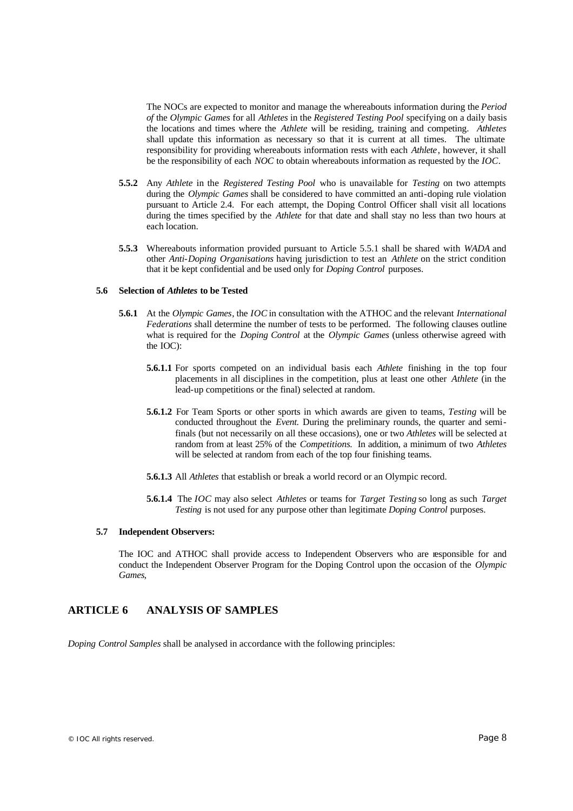The NOCs are expected to monitor and manage the whereabouts information during the *Period of* the *Olympic Games* for all *Athletes* in the *Registered Testing Pool* specifying on a daily basis the locations and times where the *Athlete* will be residing, training and competing. *Athletes*  shall update this information as necessary so that it is current at all times. The ultimate responsibility for providing whereabouts information rests with each *Athlete*, however, it shall be the responsibility of each *NOC* to obtain whereabouts information as requested by the *IOC*.

- **5.5.2** Any *Athlete* in the *Registered Testing Pool* who is unavailable for *Testing* on two attempts during the *Olympic Games* shall be considered to have committed an anti-doping rule violation pursuant to Article 2.4. For each attempt, the Doping Control Officer shall visit all locations during the times specified by the *Athlete* for that date and shall stay no less than two hours at each location.
- **5.5.3** Whereabouts information provided pursuant to Article 5.5.1 shall be shared with *WADA* and other *Anti-Doping Organisations* having jurisdiction to test an *Athlete* on the strict condition that it be kept confidential and be used only for *Doping Control* purposes.

#### **5.6 Selection of** *Athletes* **to be Tested**

- **5.6.1** At the *Olympic Games*, the *IOC* in consultation with the ATHOC and the relevant *International Federations* shall determine the number of tests to be performed. The following clauses outline what is required for the *Doping Control* at the *Olympic Games* (unless otherwise agreed with the IOC):
	- **5.6.1.1** For sports competed on an individual basis each *Athlete* finishing in the top four placements in all disciplines in the competition, plus at least one other *Athlete* (in the lead-up competitions or the final) selected at random.
	- **5.6.1.2** For Team Sports or other sports in which awards are given to teams, *Testing* will be conducted throughout the *Event.* During the preliminary rounds, the quarter and semifinals (but not necessarily on all these occasions), one or two *Athletes* will be selected at random from at least 25% of the *Competitions*. In addition, a minimum of two *Athletes* will be selected at random from each of the top four finishing teams.
	- **5.6.1.3** All *Athletes* that establish or break a world record or an Olympic record.
	- **5.6.1.4** The *IOC* may also select *Athletes* or teams for *Target Testing* so long as such *Target Testing* is not used for any purpose other than legitimate *Doping Control* purposes.

#### **5.7 Independent Observers:**

The IOC and ATHOC shall provide access to Independent Observers who are responsible for and conduct the Independent Observer Program for the Doping Control upon the occasion of the *Olympic Games*,

## **ARTICLE 6 ANALYSIS OF SAMPLES**

*Doping Control Samples* shall be analysed in accordance with the following principles: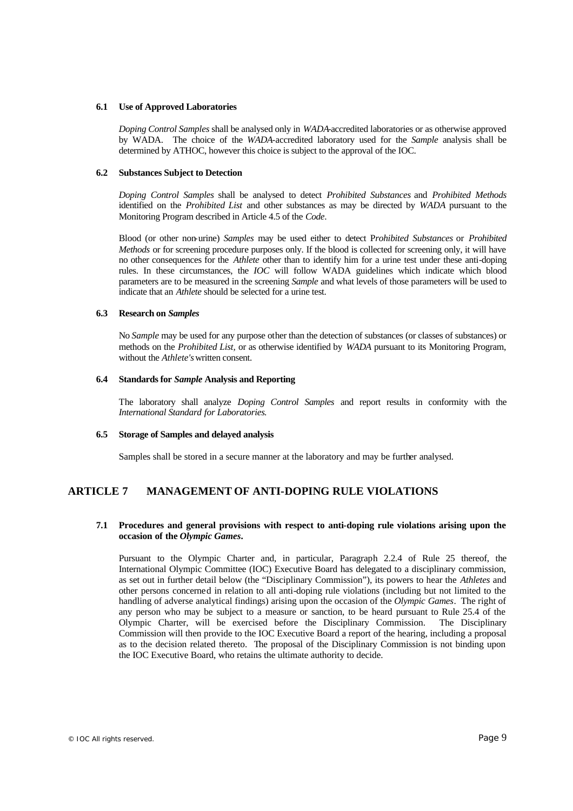#### **6.1 Use of Approved Laboratories**

*Doping Control Samples* shall be analysed only in *WADA*-accredited laboratories or as otherwise approved by WADA. The choice of the *WADA*-accredited laboratory used for the *Sample* analysis shall be determined by ATHOC, however this choice is subject to the approval of the IOC.

#### **6.2 Substances Subject to Detection**

*Doping Control Samples* shall be analysed to detect *Prohibited Substances* and *Prohibited Methods* identified on the *Prohibited List* and other substances as may be directed by *WADA* pursuant to the Monitoring Program described in Article 4.5 of the *Code*.

Blood (or other non-urine) *Samples* may be used either to detect P*rohibited Substances* or *Prohibited Methods* or for screening procedure purposes only. If the blood is collected for screening only, it will have no other consequences for the *Athlete* other than to identify him for a urine test under these anti-doping rules. In these circumstances, the *IOC* will follow WADA guidelines which indicate which blood parameters are to be measured in the screening *Sample* and what levels of those parameters will be used to indicate that an *Athlete* should be selected for a urine test.

#### **6.3 Research on** *Samples*

No *Sample* may be used for any purpose other than the detection of substances (or classes of substances) or methods on the *Prohibited List,* or as otherwise identified by *WADA* pursuant to its Monitoring Program, without the *Athlete's* written consent.

#### **6.4 Standards for** *Sample* **Analysis and Reporting**

The laboratory shall analyze *Doping Control Samples* and report results in conformity with the *International Standard for Laboratories*.

#### **6.5 Storage of Samples and delayed analysis**

Samples shall be stored in a secure manner at the laboratory and may be further analysed.

## **ARTICLE 7 MANAGEMENT OF ANTI-DOPING RULE VIOLATIONS**

#### **7.1 Procedures and general provisions with respect to anti-doping rule violations arising upon the occasion of the** *Olympic Games***.**

Pursuant to the Olympic Charter and, in particular, Paragraph 2.2.4 of Rule 25 thereof, the International Olympic Committee (IOC) Executive Board has delegated to a disciplinary commission, as set out in further detail below (the "Disciplinary Commission"), its powers to hear the *Athletes* and other persons concerned in relation to all anti-doping rule violations (including but not limited to the handling of adverse analytical findings) arising upon the occasion of the *Olympic Games*. The right of any person who may be subject to a measure or sanction, to be heard pursuant to Rule 25.4 of the Olympic Charter, will be exercised before the Disciplinary Commission. The Disciplinary Commission will then provide to the IOC Executive Board a report of the hearing, including a proposal as to the decision related thereto. The proposal of the Disciplinary Commission is not binding upon the IOC Executive Board, who retains the ultimate authority to decide.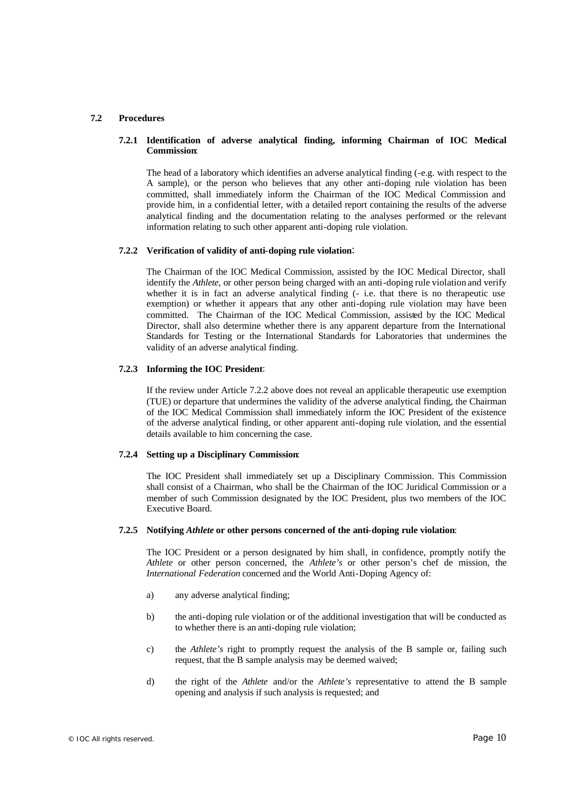#### **7.2 Procedures**

#### **7.2.1 Identification of adverse analytical finding, informing Chairman of IOC Medical Commission**:

The head of a laboratory which identifies an adverse analytical finding (-e.g. with respect to the A sample), or the person who believes that any other anti-doping rule violation has been committed, shall immediately inform the Chairman of the IOC Medical Commission and provide him, in a confidential letter, with a detailed report containing the results of the adverse analytical finding and the documentation relating to the analyses performed or the relevant information relating to such other apparent anti-doping rule violation.

#### **7.2.2 Verification of validity of anti-doping rule violation**:

The Chairman of the IOC Medical Commission, assisted by the IOC Medical Director, shall identify the *Athlete*, or other person being charged with an anti-doping rule violation and verify whether it is in fact an adverse analytical finding (- i.e. that there is no therapeutic use exemption) or whether it appears that any other anti-doping rule violation may have been committed. The Chairman of the IOC Medical Commission, assisted by the IOC Medical Director, shall also determine whether there is any apparent departure from the International Standards for Testing or the International Standards for Laboratories that undermines the validity of an adverse analytical finding.

#### **7.2.3 Informing the IOC President**:

If the review under Article 7.2.2 above does not reveal an applicable therapeutic use exemption (TUE) or departure that undermines the validity of the adverse analytical finding, the Chairman of the IOC Medical Commission shall immediately inform the IOC President of the existence of the adverse analytical finding, or other apparent anti-doping rule violation, and the essential details available to him concerning the case.

#### **7.2.4 Setting up a Disciplinary Commission**:

The IOC President shall immediately set up a Disciplinary Commission. This Commission shall consist of a Chairman, who shall be the Chairman of the IOC Juridical Commission or a member of such Commission designated by the IOC President, plus two members of the IOC Executive Board.

#### **7.2.5 Notifying** *Athlete* **or other persons concerned of the anti-doping rule violation**:

The IOC President or a person designated by him shall, in confidence, promptly notify the *Athlete* or other person concerned, the *Athlete's* or other person's chef de mission, the *International Federation* concerned and the World Anti-Doping Agency of:

- a) any adverse analytical finding;
- b) the anti-doping rule violation or of the additional investigation that will be conducted as to whether there is an anti-doping rule violation;
- c) the *Athlete's* right to promptly request the analysis of the B sample or, failing such request, that the B sample analysis may be deemed waived;
- d) the right of the *Athlete* and/or the *Athlete's* representative to attend the B sample opening and analysis if such analysis is requested; and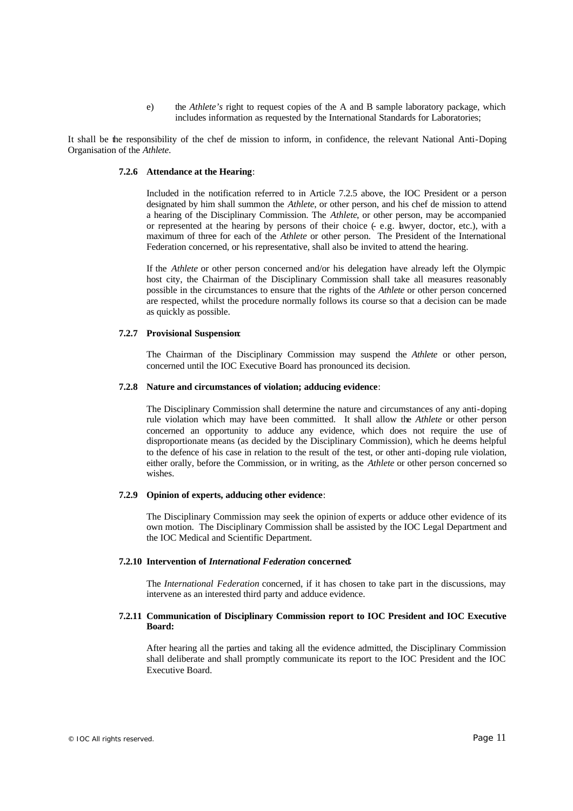e) the *Athlete's* right to request copies of the A and B sample laboratory package, which includes information as requested by the International Standards for Laboratories;

It shall be the responsibility of the chef de mission to inform, in confidence, the relevant National Anti-Doping Organisation of the *Athlete*.

#### **7.2.6 Attendance at the Hearing**:

Included in the notification referred to in Article 7.2.5 above, the IOC President or a person designated by him shall summon the *Athlete*, or other person, and his chef de mission to attend a hearing of the Disciplinary Commission. The *Athlete*, or other person, may be accompanied or represented at the hearing by persons of their choice (- e.g. lawyer, doctor, etc.), with a maximum of three for each of the *Athlete* or other person. The President of the International Federation concerned, or his representative, shall also be invited to attend the hearing.

If the *Athlete* or other person concerned and/or his delegation have already left the Olympic host city, the Chairman of the Disciplinary Commission shall take all measures reasonably possible in the circumstances to ensure that the rights of the *Athlete* or other person concerned are respected, whilst the procedure normally follows its course so that a decision can be made as quickly as possible.

#### **7.2.7 Provisional Suspension**:

The Chairman of the Disciplinary Commission may suspend the *Athlete* or other person, concerned until the IOC Executive Board has pronounced its decision.

#### **7.2.8 Nature and circumstances of violation; adducing evidence**:

The Disciplinary Commission shall determine the nature and circumstances of any anti-doping rule violation which may have been committed. It shall allow the *Athlete* or other person concerned an opportunity to adduce any evidence, which does not require the use of disproportionate means (as decided by the Disciplinary Commission), which he deems helpful to the defence of his case in relation to the result of the test, or other anti-doping rule violation, either orally, before the Commission, or in writing, as the *Athlete* or other person concerned so wishes.

#### **7.2.9 Opinion of experts, adducing other evidence**:

The Disciplinary Commission may seek the opinion of experts or adduce other evidence of its own motion. The Disciplinary Commission shall be assisted by the IOC Legal Department and the IOC Medical and Scientific Department.

#### **7.2.10 Intervention of** *International Federation* **concerned**:

The *International Federation* concerned, if it has chosen to take part in the discussions, may intervene as an interested third party and adduce evidence.

#### **7.2.11 Communication of Disciplinary Commission report to IOC President and IOC Executive Board:**

After hearing all the parties and taking all the evidence admitted, the Disciplinary Commission shall deliberate and shall promptly communicate its report to the IOC President and the IOC Executive Board.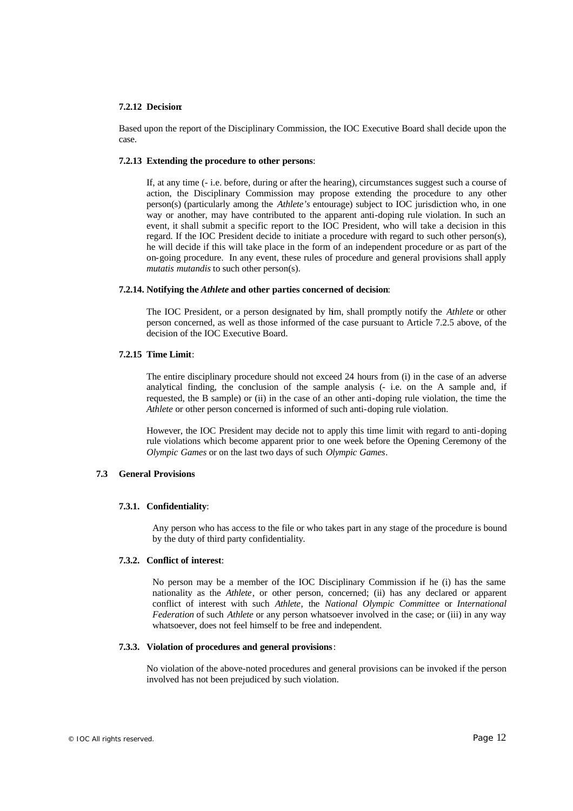#### **7.2.12 Decision**:

Based upon the report of the Disciplinary Commission, the IOC Executive Board shall decide upon the case.

#### **7.2.13 Extending the procedure to other persons**:

If, at any time (- i.e. before, during or after the hearing), circumstances suggest such a course of action, the Disciplinary Commission may propose extending the procedure to any other person(s) (particularly among the *Athlete's* entourage) subject to IOC jurisdiction who, in one way or another, may have contributed to the apparent anti-doping rule violation. In such an event, it shall submit a specific report to the IOC President, who will take a decision in this regard. If the IOC President decide to initiate a procedure with regard to such other person(s), he will decide if this will take place in the form of an independent procedure or as part of the on-going procedure. In any event, these rules of procedure and general provisions shall apply *mutatis mutandis* to such other person(s).

#### **7.2.14. Notifying the** *Athlete* **and other parties concerned of decision**:

The IOC President, or a person designated by him, shall promptly notify the *Athlete* or other person concerned, as well as those informed of the case pursuant to Article 7.2.5 above, of the decision of the IOC Executive Board.

## **7.2.15 Time Limit**:

The entire disciplinary procedure should not exceed 24 hours from (i) in the case of an adverse analytical finding, the conclusion of the sample analysis (- i.e. on the A sample and, if requested, the B sample) or (ii) in the case of an other anti-doping rule violation, the time the *Athlete* or other person concerned is informed of such anti-doping rule violation.

However, the IOC President may decide not to apply this time limit with regard to anti-doping rule violations which become apparent prior to one week before the Opening Ceremony of the *Olympic Games* or on the last two days of such *Olympic Games*.

#### **7.3 General Provisions**

#### **7.3.1. Confidentiality**:

Any person who has access to the file or who takes part in any stage of the procedure is bound by the duty of third party confidentiality*.*

#### **7.3.2. Conflict of interest**:

No person may be a member of the IOC Disciplinary Commission if he (i) has the same nationality as the *Athlete*, or other person, concerned; (ii) has any declared or apparent conflict of interest with such *Athlete*, the *National Olympic Committee* or *International Federation* of such *Athlete* or any person whatsoever involved in the case; or (iii) in any way whatsoever, does not feel himself to be free and independent.

#### **7.3.3. Violation of procedures and general provisions**:

No violation of the above-noted procedures and general provisions can be invoked if the person involved has not been prejudiced by such violation.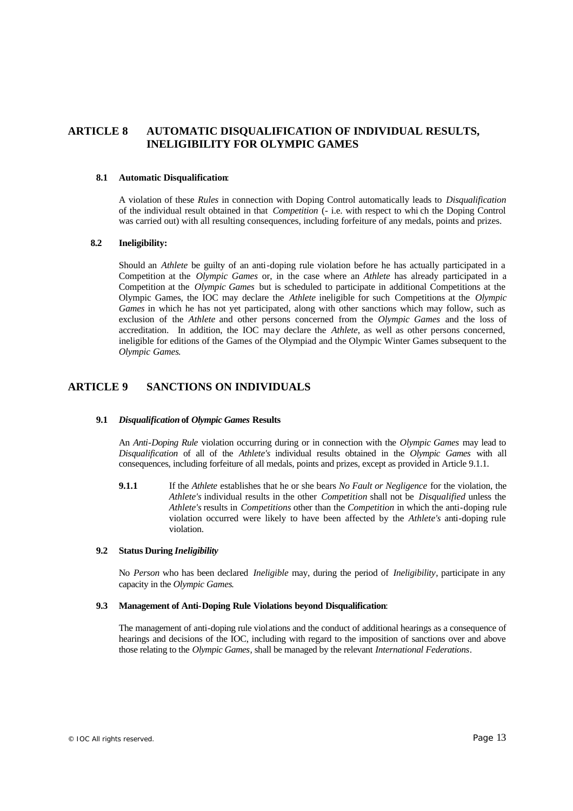## **ARTICLE 8 AUTOMATIC DISQUALIFICATION OF INDIVIDUAL RESULTS, INELIGIBILITY FOR OLYMPIC GAMES**

#### **8.1 Automatic Disqualification**:

A violation of these *Rules* in connection with Doping Control automatically leads to *Disqualification* of the individual result obtained in that *Competition* (- i.e. with respect to whi ch the Doping Control was carried out) with all resulting consequences, including forfeiture of any medals, points and prizes.

#### **8.2 Ineligibility:**

Should an *Athlete* be guilty of an anti-doping rule violation before he has actually participated in a Competition at the *Olympic Games* or, in the case where an *Athlete* has already participated in a Competition at the *Olympic Games* but is scheduled to participate in additional Competitions at the Olympic Games, the IOC may declare the *Athlete* ineligible for such Competitions at the *Olympic Games* in which he has not yet participated, along with other sanctions which may follow, such as exclusion of the *Athlete* and other persons concerned from the *Olympic Games* and the loss of accreditation. In addition, the IOC may declare the *Athlete*, as well as other persons concerned, ineligible for editions of the Games of the Olympiad and the Olympic Winter Games subsequent to the *Olympic Games*.

## **ARTICLE 9 SANCTIONS ON INDIVIDUALS**

#### **9.1** *Disqualification* **of** *Olympic Games* **Results**

An *Anti-Doping Rule* violation occurring during or in connection with the *Olympic Games* may lead to *Disqualification* of all of the *Athlete's* individual results obtained in the *Olympic Games* with all consequences, including forfeiture of all medals, points and prizes, except as provided in Article 9.1.1.

**9.1.1** If the *Athlete* establishes that he or she bears *No Fault or Negligence* for the violation, the *Athlete's* individual results in the other *Competition* shall not be *Disqualified* unless the *Athlete's* results in *Competitions* other than the *Competition* in which the anti-doping rule violation occurred were likely to have been affected by the *Athlete's* anti-doping rule violation.

#### **9.2 Status During** *Ineligibility*

No *Person* who has been declared *Ineligible* may, during the period of *Ineligibility*, participate in any capacity in the *Olympic Games*.

#### **9.3 Management of Anti-Doping Rule Violations beyond Disqualification**:

The management of anti-doping rule violations and the conduct of additional hearings as a consequence of hearings and decisions of the IOC, including with regard to the imposition of sanctions over and above those relating to the *Olympic Games*, shall be managed by the relevant *International Federations*.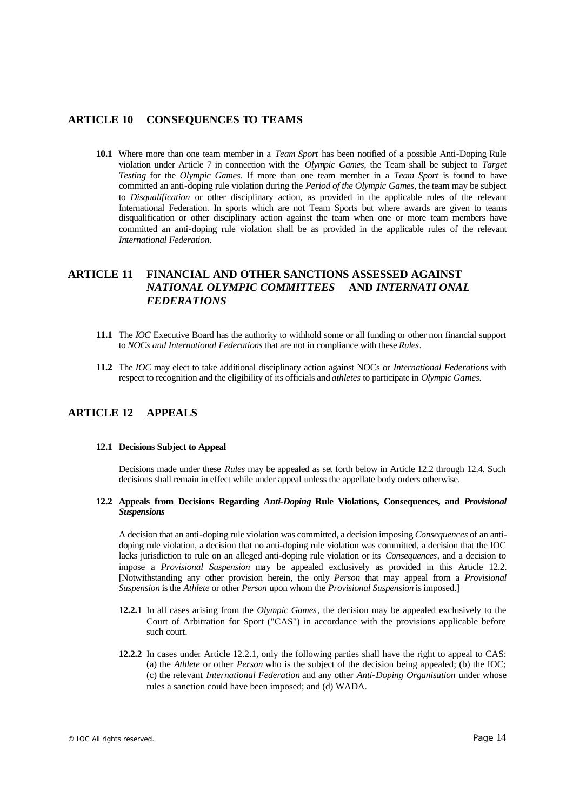## **ARTICLE 10 CONSEQUENCES TO TEAMS**

**10.1** Where more than one team member in a *Team Sport* has been notified of a possible Anti-Doping Rule violation under Article 7 in connection with the *Olympic Games,* the Team shall be subject to *Target Testing* for the *Olympic Games*. If more than one team member in a *Team Sport* is found to have committed an anti-doping rule violation during the *Period of the Olympic Games*, the team may be subject to *Disqualification* or other disciplinary action, as provided in the applicable rules of the relevant International Federation. In sports which are not Team Sports but where awards are given to teams disqualification or other disciplinary action against the team when one or more team members have committed an anti-doping rule violation shall be as provided in the applicable rules of the relevant *International Federation*.

## **ARTICLE 11 FINANCIAL AND OTHER SANCTIONS ASSESSED AGAINST**  *NATIONAL OLYMPIC COMMITTEES* **AND** *INTERNATI ONAL FEDERATIONS*

- **11.1** The *IOC* Executive Board has the authority to withhold some or all funding or other non financial support to *NOCs and International Federations*that are not in compliance with these *Rules*.
- **11.2** The *IOC* may elect to take additional disciplinary action against NOCs or *International Federations* with respect to recognition and the eligibility of its officials and *athletes* to participate in *Olympic Games*.

## **ARTICLE 12 APPEALS**

#### **12.1 Decisions Subject to Appeal**

Decisions made under these *Rules* may be appealed as set forth below in Article 12.2 through 12.4. Such decisions shall remain in effect while under appeal unless the appellate body orders otherwise.

#### **12.2 Appeals from Decisions Regarding** *Anti-Doping* **Rule Violations, Consequences, and** *Provisional Suspensions*

A decision that an anti-doping rule violation was committed, a decision imposing *Consequences* of an antidoping rule violation, a decision that no anti-doping rule violation was committed, a decision that the IOC lacks jurisdiction to rule on an alleged anti-doping rule violation or its *Consequences*, and a decision to impose a *Provisional Suspension* may be appealed exclusively as provided in this Article 12.2. [Notwithstanding any other provision herein, the only *Person* that may appeal from a *Provisional Suspension* is the *Athlete* or other *Person* upon whom the *Provisional Suspension* is imposed.]

- **12.2.1** In all cases arising from the *Olympic Games*, the decision may be appealed exclusively to the Court of Arbitration for Sport ("CAS") in accordance with the provisions applicable before such court.
- **12.2.2** In cases under Article 12.2.1, only the following parties shall have the right to appeal to CAS: (a) the *Athlete* or other *Person* who is the subject of the decision being appealed; (b) the IOC; (c) the relevant *International Federation* and any other *Anti-Doping Organisation* under whose rules a sanction could have been imposed; and (d) WADA.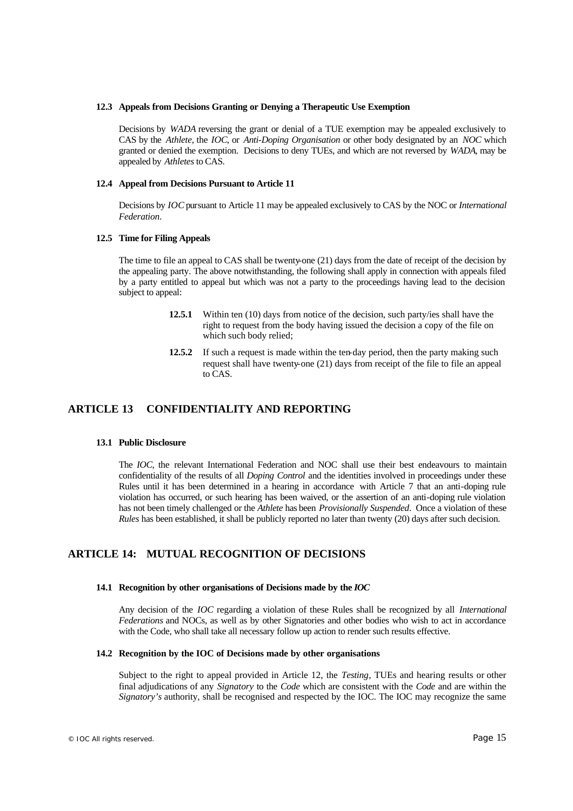#### **12.3 Appeals from Decisions Granting or Denying a Therapeutic Use Exemption**

Decisions by *WADA* reversing the grant or denial of a TUE exemption may be appealed exclusively to CAS by the *Athlete*, the *IOC*, or *Anti-Doping Organisation* or other body designated by an *NOC* which granted or denied the exemption. Decisions to deny TUEs, and which are not reversed by *WADA*, may be appealed by *Athletes* to CAS.

#### **12.4 Appeal from Decisions Pursuant to Article 11**

Decisions by *IOC* pursuant to Article 11 may be appealed exclusively to CAS by the NOC or *International Federation*.

#### **12.5 Time for Filing Appeals**

The time to file an appeal to CAS shall be twenty-one (21) days from the date of receipt of the decision by the appealing party. The above notwithstanding, the following shall apply in connection with appeals filed by a party entitled to appeal but which was not a party to the proceedings having lead to the decision subject to appeal:

- **12.5.1** Within ten (10) days from notice of the decision, such party/ies shall have the right to request from the body having issued the decision a copy of the file on which such body relied;
- **12.5.2** If such a request is made within the ten-day period, then the party making such request shall have twenty-one (21) days from receipt of the file to file an appeal to CAS.

### **ARTICLE 13 CONFIDENTIALITY AND REPORTING**

#### **13.1 Public Disclosure**

The *IOC,* the relevant International Federation and NOC shall use their best endeavours to maintain confidentiality of the results of all *Doping Control* and the identities involved in proceedings under these Rules until it has been determined in a hearing in accordance with Article 7 that an anti-doping rule violation has occurred, or such hearing has been waived, or the assertion of an anti-doping rule violation has not been timely challenged or the *Athlete* has been *Provisionally Suspended*. Once a violation of these *Rules* has been established, it shall be publicly reported no later than twenty (20) days after such decision.

## **ARTICLE 14: MUTUAL RECOGNITION OF DECISIONS**

#### **14.1 Recognition by other organisations of Decisions made by the** *IOC*

Any decision of the *IOC* regarding a violation of these Rules shall be recognized by all *International Federations* and NOCs, as well as by other Signatories and other bodies who wish to act in accordance with the Code, who shall take all necessary follow up action to render such results effective.

#### **14.2 Recognition by the IOC of Decisions made by other organisations**

Subject to the right to appeal provided in Article 12, the *Testing*, TUEs and hearing results or other final adjudications of any *Signatory* to the *Code* which are consistent with the *Code* and are within the *Signatory's* authority, shall be recognised and respected by the IOC. The IOC may recognize the same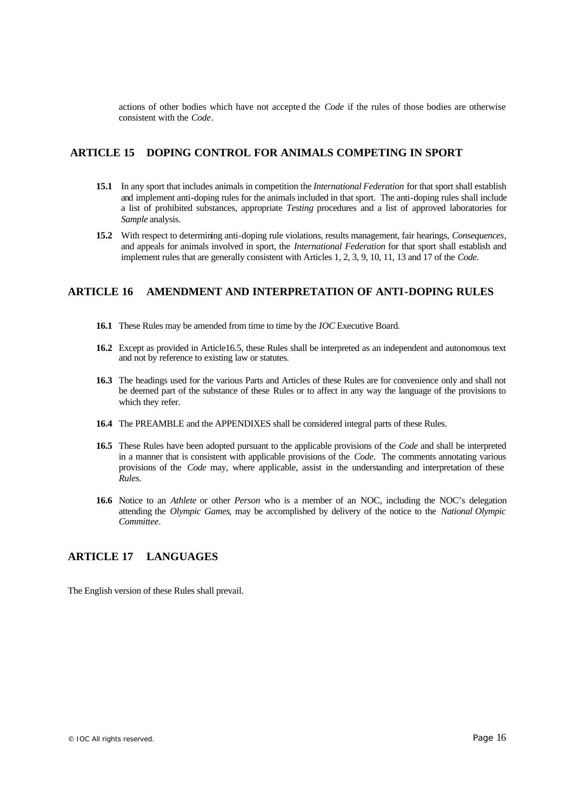actions of other bodies which have not accepte d the *Code* if the rules of those bodies are otherwise consistent with the *Code*.

## **ARTICLE 15 DOPING CONTROL FOR ANIMALS COMPETING IN SPORT**

- **15.1** In any sport that includes animals in competition the *International Federation* for that sport shall establish and implement anti-doping rules for the animals included in that sport. The anti-doping rules shall include a list of prohibited substances, appropriate *Testing* procedures and a list of approved laboratories for *Sample* analysis.
- **15.2** With respect to determining anti-doping rule violations, results management, fair hearings, *Consequences*, and appeals for animals involved in sport, the *International Federation* for that sport shall establish and implement rules that are generally consistent with Articles 1, 2, 3, 9, 10, 11, 13 and 17 of the *Code*.

## **ARTICLE 16 AMENDMENT AND INTERPRETATION OF ANTI-DOPING RULES**

- **16.1** These Rules may be amended from time to time by the *IOC* Executive Board.
- **16.2** Except as provided in Article16.5, these Rules shall be interpreted as an independent and autonomous text and not by reference to existing law or statutes.
- **16.3** The headings used for the various Parts and Articles of these Rules are for convenience only and shall not be deemed part of the substance of these Rules or to affect in any way the language of the provisions to which they refer.
- **16.4** The PREAMBLE and the APPENDIXES shall be considered integral parts of these Rules.
- **16.5** These Rules have been adopted pursuant to the applicable provisions of the *Code* and shall be interpreted in a manner that is consistent with applicable provisions of the *Code*. The comments annotating various provisions of the *Code* may, where applicable, assist in the understanding and interpretation of these *Rules*.
- **16.6** Notice to an *Athlete* or other *Person* who is a member of an NOC, including the NOC's delegation attending the *Olympic Games*, may be accomplished by delivery of the notice to the *National Olympic Committee*.

## **ARTICLE 17 LANGUAGES**

The English version of these Rules shall prevail.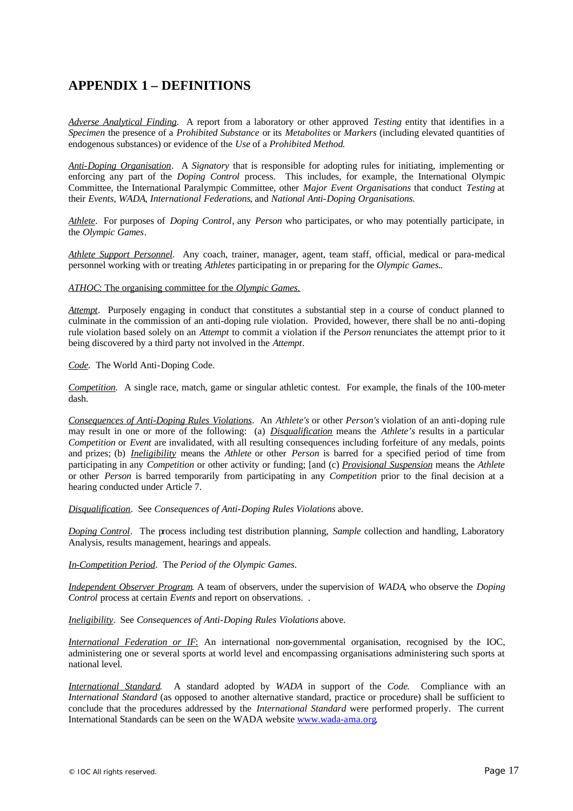## **APPENDIX 1 – DEFINITIONS**

*Adverse Analytical Finding*. A report from a laboratory or other approved *Testing* entity that identifies in a *Specimen* the presence of a *Prohibited Substance* or its *Metabolites* or *Markers* (including elevated quantities of endogenous substances) or evidence of the *Use* of a *Prohibited Method*.

*Anti-Doping Organisation*. A *Signatory* that is responsible for adopting rules for initiating, implementing or enforcing any part of the *Doping Control* process. This includes, for example, the International Olympic Committee, the International Paralympic Committee, other *Major Event Organisations* that conduct *Testing* at their *Events*, *WADA*, *International Federations*, and *National Anti-Doping Organisations.*

*Athlete*. For purposes of *Doping Control*, any *Person* who participates, or who may potentially participate, in the *Olympic Games*.

*Athlete Support Personnel*. Any coach, trainer, manager, agent, team staff, official, medical or para-medical personnel working with or treating *Athletes* participating in or preparing for the *Olympic Games.*.

#### *ATHOC*: The organising committee for the *Olympic Games*.

*Attempt.* Purposely engaging in conduct that constitutes a substantial step in a course of conduct planned to culminate in the commission of an anti-doping rule violation. Provided, however, there shall be no anti-doping rule violation based solely on an *Attempt* to commit a violation if the *Person* renunciates the attempt prior to it being discovered by a third party not involved in the *Attempt*.

#### *Code.* The World Anti-Doping Code.

*Competition.* A single race, match, game or singular athletic contest. For example, the finals of the 100-meter dash.

*Consequences of Anti-Doping Rules Violations*. An *Athlete's* or other *Person's* violation of an anti-doping rule may result in one or more of the following: (a) *Disqualification* means the *Athlete's* results in a particular *Competition* or *Event* are invalidated, with all resulting consequences including forfeiture of any medals, points and prizes; (b) *Ineligibility* means the *Athlete* or other *Person* is barred for a specified period of time from participating in any *Competition* or other activity or funding; [and (c) *Provisional Suspension* means the *Athlete* or other *Person* is barred temporarily from participating in any *Competition* prior to the final decision at a hearing conducted under Article 7.

*Disqualification*. See *Consequences of Anti-Doping Rules Violations* above.

*Doping Control*. The process including test distribution planning, *Sample* collection and handling, Laboratory Analysis, results management, hearings and appeals.

*In-Competition Period*. The *Period of the Olympic Games*.

*Independent Observer Program*. A team of observers, under the supervision of *WADA*, who observe the *Doping Control* process at certain *Events* and report on observations. .

*Ineligibility*. See *Consequences of Anti-Doping Rules Violations* above.

*International Federation or IF*: An international non-governmental organisation, recognised by the IOC, administering one or several sports at world level and encompassing organisations administering such sports at national level.

*International Standard.* A standard adopted by *WADA* in support of the *Code*. Compliance with an *International Standard* (as opposed to another alternative standard, practice or procedure) shall be sufficient to conclude that the procedures addressed by the *International Standard* were performed properly. The current International Standards can be seen on the WADA website www.wada-ama.org.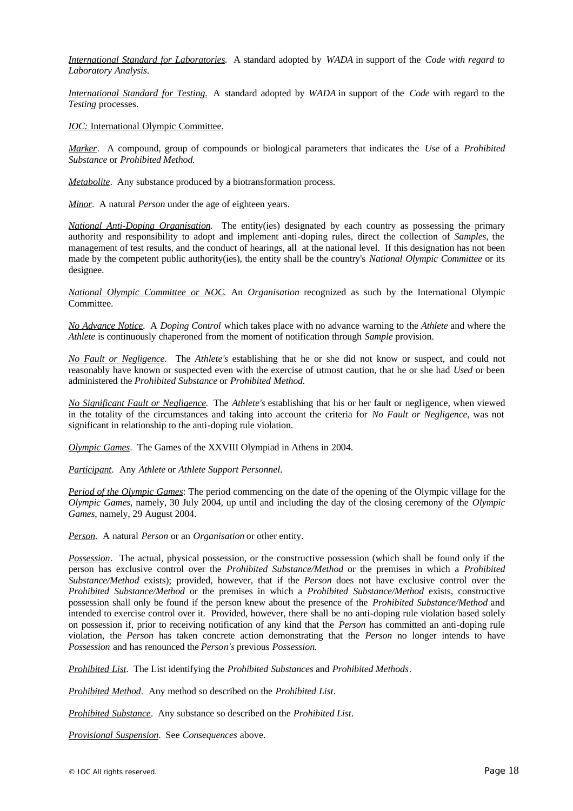*International Standard for Laboratories.* A standard adopted by *WADA* in support of the *Code with regard to Laboratory Analysis*.

*International Standard for Testing.* A standard adopted by *WADA* in support of the *Code* with regard to the *Testing* processes.

*IOC:* International Olympic Committee.

*Marker*. A compound, group of compounds or biological parameters that indicates the *Use* of a *Prohibited Substance* or *Prohibited Method.*

*Metabolite*. Any substance produced by a biotransformation process.

*Minor*. A natural *Person* under the age of eighteen years.

*National Anti-Doping Organisation.* The entity(ies) designated by each country as possessing the primary authority and responsibility to adopt and implement anti-doping rules, direct the collection of *Samples*, the management of test results, and the conduct of hearings, all at the national level. If this designation has not been made by the competent public authority(ies), the entity shall be the country's *National Olympic Committee* or its designee.

*National Olympic Committee or NOC*. An *Organisation* recognized as such by the International Olympic Committee.

*No Advance Notice*. A *Doping Control* which takes place with no advance warning to the *Athlete* and where the *Athlete* is continuously chaperoned from the moment of notification through *Sample* provision.

*No Fault or Negligence*. The *Athlete's* establishing that he or she did not know or suspect, and could not reasonably have known or suspected even with the exercise of utmost caution, that he or she had *Used* or been administered the *Prohibited Substance* or *Prohibited Method.*

*No Significant Fault or Negligence*. The *Athlete's* establishing that his or her fault or negligence, when viewed in the totality of the circumstances and taking into account the criteria for *No Fault or Negligence*, was not significant in relationship to the anti-doping rule violation.

*Olympic Games*. The Games of the XXVIII Olympiad in Athens in 2004.

*Participant.* Any *Athlete* or *Athlete Support Personnel*.

*Period of the Olympic Games*: The period commencing on the date of the opening of the Olympic village for the *Olympic Games*, namely, 30 July 2004, up until and including the day of the closing ceremony of the *Olympic Games*, namely, 29 August 2004.

*Person*. A natural *Person* or an *Organisation* or other entity.

*Possession*. The actual, physical possession, or the constructive possession (which shall be found only if the person has exclusive control over the *Prohibited Substance/Method* or the premises in which a *Prohibited Substance/Method* exists); provided, however, that if the *Person* does not have exclusive control over the *Prohibited Substance/Method* or the premises in which a *Prohibited Substance/Method* exists, constructive possession shall only be found if the person knew about the presence of the *Prohibited Substance/Method* and intended to exercise control over it. Provided, however, there shall be no anti-doping rule violation based solely on possession if, prior to receiving notification of any kind that the *Person* has committed an anti-doping rule violation, the *Person* has taken concrete action demonstrating that the *Person* no longer intends to have *Possession* and has renounced the *Person's* previous *Possession*.

*Prohibited List*. The List identifying the *Prohibited Substances* and *Prohibited Methods*.

*Prohibited Method*. Any method so described on the *Prohibited List*.

*Prohibited Substance*. Any substance so described on the *Prohibited List*.

*Provisional Suspension*. See *Consequences* above.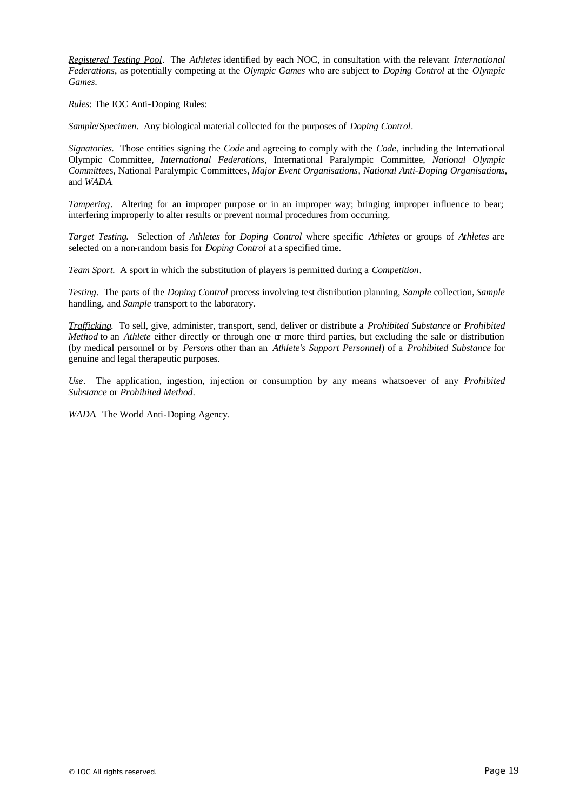*Registered Testing Pool*. The *Athletes* identified by each NOC, in consultation with the relevant *International Federations*, as potentially competing at the *Olympic Games* who are subject to *Doping Control* at the *Olympic Games*.

*Rules*: The IOC Anti-Doping Rules:

*Sample*/S*pecimen*. Any biological material collected for the purposes of *Doping Control*.

*Signatories.* Those entities signing the *Code* and agreeing to comply with the *Code*, including the International Olympic Committee, *International Federations*, International Paralympic Committee, *National Olympic Committee*s, National Paralympic Committees, *Major Event Organisations*, *National Anti-Doping Organisations*, and *WADA*.

*Tampering*. Altering for an improper purpose or in an improper way; bringing improper influence to bear; interfering improperly to alter results or prevent normal procedures from occurring.

*Target Testing*. Selection of *Athletes* for *Doping Control* where specific *Athletes* or groups of *Athletes* are selected on a non-random basis for *Doping Control* at a specified time.

*Team Sport.* A sport in which the substitution of players is permitted during a *Competition*.

*Testing.* The parts of the *Doping Control* process involving test distribution planning, *Sample* collection, *Sample* handling, and *Sample* transport to the laboratory.

*Trafficking*. To sell, give, administer, transport, send, deliver or distribute a *Prohibited Substance* or *Prohibited Method* to an *Athlete* either directly or through one or more third parties, but excluding the sale or distribution (by medical personnel or by *Person*s other than an *Athlete's Support Personnel*) of a *Prohibited Substance* for genuine and legal therapeutic purposes.

*Use*. The application, ingestion, injection or consumption by any means whatsoever of any *Prohibited Substance* or *Prohibited Method*.

*WADA.* The World Anti-Doping Agency.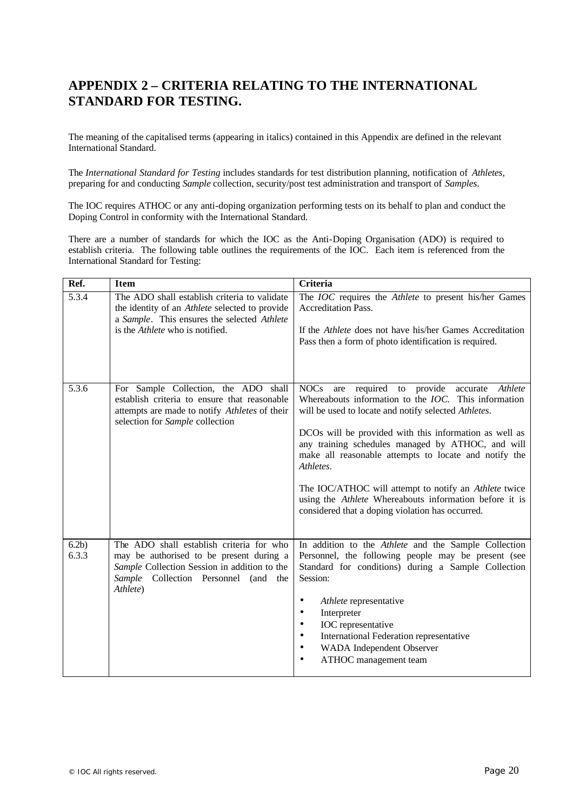# **APPENDIX 2 – CRITERIA RELATING TO THE INTERNATIONAL STANDARD FOR TESTING.**

The meaning of the capitalised terms (appearing in italics) contained in this Appendix are defined in the relevant International Standard.

The *International Standard for Testing* includes standards for test distribution planning, notification of *Athletes*, preparing for and conducting *Sample* collection, security/post test administration and transport of *Samples*.

The IOC requires ATHOC or any anti-doping organization performing tests on its behalf to plan and conduct the Doping Control in conformity with the International Standard.

There are a number of standards for which the IOC as the Anti-Doping Organisation (ADO) is required to establish criteria. The following table outlines the requirements of the IOC. Each item is referenced from the International Standard for Testing:

| Ref.                      | <b>Item</b>                                                                                                                                                                              | <b>Criteria</b>                                                                                                                                                                                                                                                                                                                                                                                                                                                                                                                                   |
|---------------------------|------------------------------------------------------------------------------------------------------------------------------------------------------------------------------------------|---------------------------------------------------------------------------------------------------------------------------------------------------------------------------------------------------------------------------------------------------------------------------------------------------------------------------------------------------------------------------------------------------------------------------------------------------------------------------------------------------------------------------------------------------|
| 5.3.4                     | The ADO shall establish criteria to validate<br>the identity of an Athlete selected to provide<br>a Sample. This ensures the selected Athlete<br>is the <i>Athlete</i> who is notified.  | The <i>IOC</i> requires the <i>Athlete</i> to present his/her Games<br><b>Accreditation Pass.</b><br>If the <i>Athlete</i> does not have his/her Games Accreditation<br>Pass then a form of photo identification is required.                                                                                                                                                                                                                                                                                                                     |
| 5.3.6                     | For Sample Collection, the ADO shall<br>establish criteria to ensure that reasonable<br>attempts are made to notify Athletes of their<br>selection for Sample collection                 | <b>NOCs</b><br>required to provide accurate<br>Athlete<br>are<br>Whereabouts information to the <i>IOC</i> . This information<br>will be used to locate and notify selected Athletes.<br>DCOs will be provided with this information as well as<br>any training schedules managed by ATHOC, and will<br>make all reasonable attempts to locate and notify the<br>Athletes.<br>The IOC/ATHOC will attempt to notify an Athlete twice<br>using the Athlete Whereabouts information before it is<br>considered that a doping violation has occurred. |
| 6.2 <sub>b</sub><br>6.3.3 | The ADO shall establish criteria for who<br>may be authorised to be present during a<br>Sample Collection Session in addition to the<br>Sample Collection Personnel (and the<br>Athlete) | In addition to the Athlete and the Sample Collection<br>Personnel, the following people may be present (see<br>Standard for conditions) during a Sample Collection<br>Session:<br>Athlete representative<br>٠<br>Interpreter<br>IOC representative<br>٠<br>International Federation representative<br>WADA Independent Observer<br>$\bullet$<br>ATHOC management team                                                                                                                                                                             |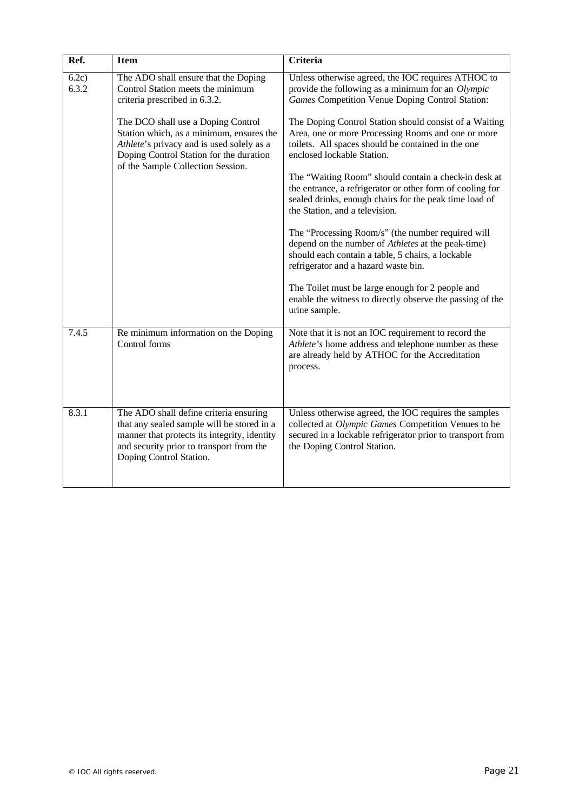| Ref.           | <b>Item</b>                                                                                                                                                                                                 | Criteria                                                                                                                                                                                                      |
|----------------|-------------------------------------------------------------------------------------------------------------------------------------------------------------------------------------------------------------|---------------------------------------------------------------------------------------------------------------------------------------------------------------------------------------------------------------|
| 6.2c)<br>6.3.2 | The ADO shall ensure that the Doping<br>Control Station meets the minimum<br>criteria prescribed in 6.3.2.                                                                                                  | Unless otherwise agreed, the IOC requires ATHOC to<br>provide the following as a minimum for an Olympic<br>Games Competition Venue Doping Control Station:                                                    |
|                | The DCO shall use a Doping Control<br>Station which, as a minimum, ensures the<br>Athlete's privacy and is used solely as a<br>Doping Control Station for the duration                                      | The Doping Control Station should consist of a Waiting<br>Area, one or more Processing Rooms and one or more<br>toilets. All spaces should be contained in the one<br>enclosed lockable Station.              |
|                | of the Sample Collection Session.                                                                                                                                                                           | The "Waiting Room" should contain a check-in desk at<br>the entrance, a refrigerator or other form of cooling for<br>sealed drinks, enough chairs for the peak time load of<br>the Station, and a television. |
|                |                                                                                                                                                                                                             | The "Processing Room/s" (the number required will<br>depend on the number of Athletes at the peak-time)<br>should each contain a table, 5 chairs, a lockable<br>refrigerator and a hazard waste bin.          |
|                |                                                                                                                                                                                                             | The Toilet must be large enough for 2 people and<br>enable the witness to directly observe the passing of the<br>urine sample.                                                                                |
| 7.4.5          | Re minimum information on the Doping<br>Control forms                                                                                                                                                       | Note that it is not an IOC requirement to record the<br>Athlete's home address and telephone number as these<br>are already held by ATHOC for the Accreditation<br>process.                                   |
| 8.3.1          | The ADO shall define criteria ensuring<br>that any sealed sample will be stored in a<br>manner that protects its integrity, identity<br>and security prior to transport from the<br>Doping Control Station. | Unless otherwise agreed, the IOC requires the samples<br>collected at Olympic Games Competition Venues to be<br>secured in a lockable refrigerator prior to transport from<br>the Doping Control Station.     |